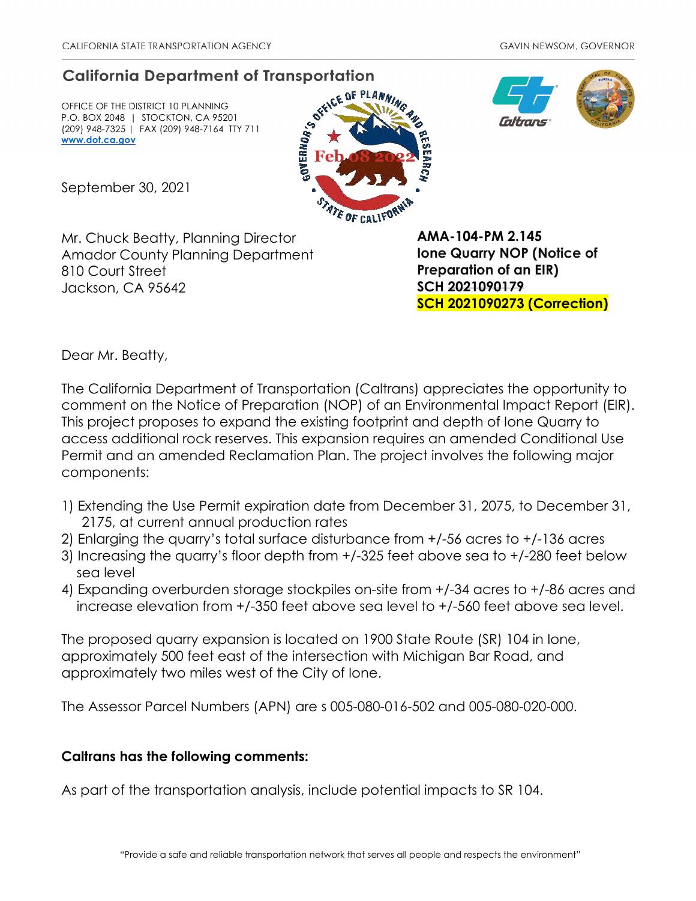## **California Department of Transportation**

OFFICE OF THE DISTRICT 10 PLANNING P.O. BOX 2048 | STOCKTON, CA 95201 (209) 948-7325 | FAX (209) 948-7164 TTY 711 **www.dot.ca.gov** 







September 30, 2021

Mr. Chuck Beatty, Planning Director Amador County Planning Department 810 Court Street Jackson, CA 95642

**AMA-104-PM 2.145 Ione Quarry NOP (Notice of Preparation of an EIR) SCH 2021090179 SCH 2021090273 (Correction)** 

Dear Mr. Beatty,

The California Department of Transportation (Caltrans) appreciates the opportunity to comment on the Notice of Preparation (NOP) of an Environmental Impact Report (EIR). This project proposes to expand the existing footprint and depth of Ione Quarry to access additional rock reserves. This expansion requires an amended Conditional Use Permit and an amended Reclamation Plan. The project involves the following major components:

- 1) Extending the Use Permit expiration date from December 31, 2075, to December 31, 2175, at current annual production rates
- 2) Enlarging the quarry's total surface disturbance from +/-56 acres to +/-136 acres
- 3) Increasing the quarry's floor depth from +/-325 feet above sea to +/-280 feet below sea level
- 4) Expanding overburden storage stockpiles on-site from +/-34 acres to +/-86 acres and increase elevation from +/-350 feet above sea level to +/-560 feet above sea level.

The proposed quarry expansion is located on 1900 State Route (SR) 104 in Ione, approximately 500 feet east of the intersection with Michigan Bar Road, and approximately two miles west of the City of Ione.

The Assessor Parcel Numbers (APN) are s 005-080-016-502 and 005-080-020-000.

## **Caltrans has the following comments:**

As part of the transportation analysis, include potential impacts to SR 104.